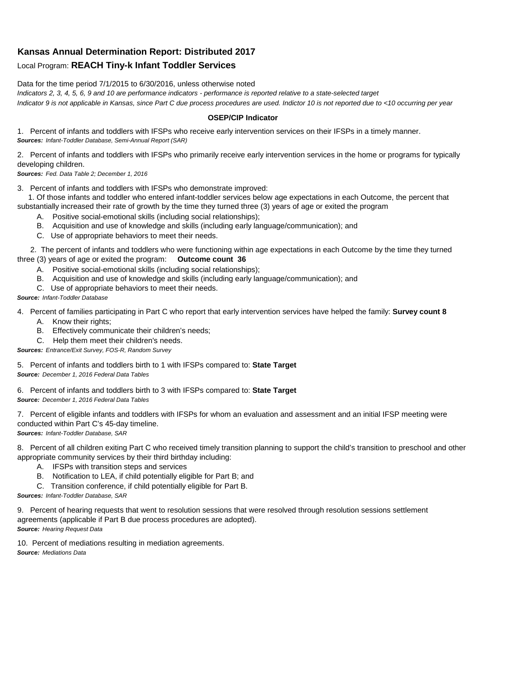## **Kansas Annual Determination Report: Distributed 2017**

## Local Program: **REACH Tiny-k Infant Toddler Services**

Data for the time period 7/1/2015 to 6/30/2016, unless otherwise noted

*Indicators 2, 3, 4, 5, 6, 9 and 10 are performance indicators - performance is reported relative to a state-selected target Indicator 9 is not applicable in Kansas, since Part C due process procedures are used. Indictor 10 is not reported due to <10 occurring per year*

## **OSEP/CIP Indicator**

1. Percent of infants and toddlers with IFSPs who receive early intervention services on their IFSPs in a timely manner. *Sources: Infant-Toddler Database, Semi-Annual Report (SAR)* 

2. Percent of infants and toddlers with IFSPs who primarily receive early intervention services in the home or programs for typically developing children.

*Sources: Fed. Data Table 2; December 1, 2016*

3. Percent of infants and toddlers with IFSPs who demonstrate improved:

 1. Of those infants and toddler who entered infant-toddler services below age expectations in each Outcome, the percent that substantially increased their rate of growth by the time they turned three (3) years of age or exited the program

- A. Positive social-emotional skills (including social relationships);
- B. Acquisition and use of knowledge and skills (including early language/communication); and
- C. Use of appropriate behaviors to meet their needs.

 2. The percent of infants and toddlers who were functioning within age expectations in each Outcome by the time they turned three (3) years of age or exited the program: **Outcome count 36**

- A. Positive social-emotional skills (including social relationships);
- B. Acquisition and use of knowledge and skills (including early language/communication); and
- C. Use of appropriate behaviors to meet their needs.

## *Source: Infant-Toddler Database*

4. Percent of families participating in Part C who report that early intervention services have helped the family: **Survey count 8**

- A. Know their rights;
- B. Effectively communicate their children's needs;
- C. Help them meet their children's needs.
- *Sources: Entrance/Exit Survey, FOS-R, Random Survey*

5. Percent of infants and toddlers birth to 1 with IFSPs compared to: **State Target** *Source: December 1, 2016 Federal Data Tables*

6. Percent of infants and toddlers birth to 3 with IFSPs compared to: **State Target** *Source: December 1, 2016 Federal Data Tables*

7. Percent of eligible infants and toddlers with IFSPs for whom an evaluation and assessment and an initial IFSP meeting were conducted within Part C's 45-day timeline.

*Sources: Infant-Toddler Database, SAR*

8. Percent of all children exiting Part C who received timely transition planning to support the child's transition to preschool and other appropriate community services by their third birthday including:

- A. IFSPs with transition steps and services
- B. Notification to LEA, if child potentially eligible for Part B; and
- C. Transition conference, if child potentially eligible for Part B.

*Sources: Infant-Toddler Database, SAR*

9. Percent of hearing requests that went to resolution sessions that were resolved through resolution sessions settlement agreements (applicable if Part B due process procedures are adopted). *Source: Hearing Request Data*

10. Percent of mediations resulting in mediation agreements. *Source: Mediations Data*